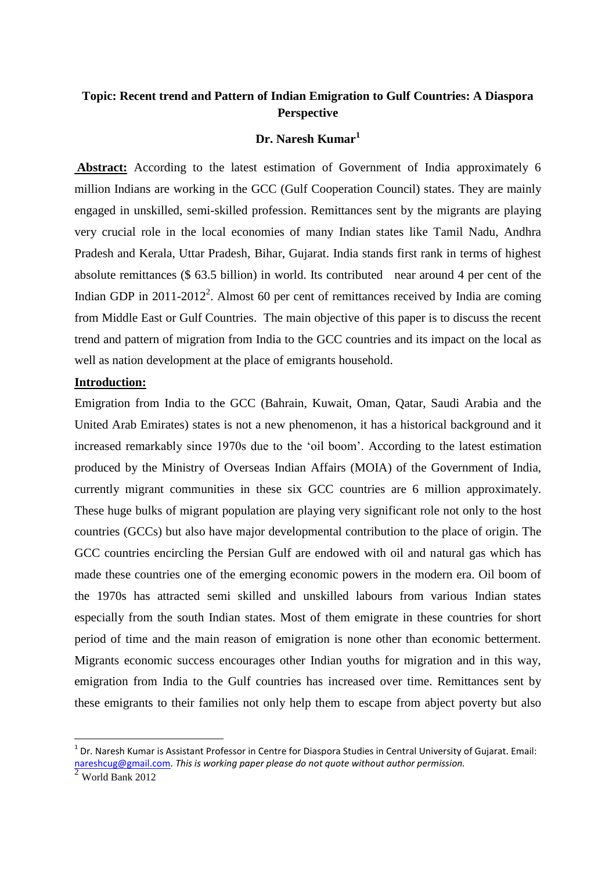# **Topic: Recent trend and Pattern of Indian Emigration to Gulf Countries: A Diaspora Perspective**

## **Dr. Naresh Kumar<sup>1</sup>**

**Abstract:** According to the latest estimation of Government of India approximately 6 million Indians are working in the GCC (Gulf Cooperation Council) states. They are mainly engaged in unskilled, semi-skilled profession. Remittances sent by the migrants are playing very crucial role in the local economies of many Indian states like Tamil Nadu, Andhra Pradesh and Kerala, Uttar Pradesh, Bihar, Gujarat. India stands first rank in terms of highest absolute remittances (\$ 63.5 billion) in world. Its contributed near around 4 per cent of the Indian GDP in  $2011-2012^2$ . Almost 60 per cent of remittances received by India are coming from Middle East or Gulf Countries. The main objective of this paper is to discuss the recent trend and pattern of migration from India to the GCC countries and its impact on the local as well as nation development at the place of emigrants household.

# **Introduction:**

Emigration from India to the GCC (Bahrain, Kuwait, Oman, Qatar, Saudi Arabia and the United Arab Emirates) states is not a new phenomenon, it has a historical background and it increased remarkably since 1970s due to the 'oil boom'. According to the latest estimation produced by the Ministry of Overseas Indian Affairs (MOIA) of the Government of India, currently migrant communities in these six GCC countries are 6 million approximately. These huge bulks of migrant population are playing very significant role not only to the host countries (GCCs) but also have major developmental contribution to the place of origin. The GCC countries encircling the Persian Gulf are endowed with oil and natural gas which has made these countries one of the emerging economic powers in the modern era. Oil boom of the 1970s has attracted semi skilled and unskilled labours from various Indian states especially from the south Indian states. Most of them emigrate in these countries for short period of time and the main reason of emigration is none other than economic betterment. Migrants economic success encourages other Indian youths for migration and in this way, emigration from India to the Gulf countries has increased over time. Remittances sent by these emigrants to their families not only help them to escape from abject poverty but also

<sup>&</sup>lt;sup>1</sup> Dr. Naresh Kumar is Assistant Professor in Centre for Diaspora Studies in Central University of Gujarat. Email: [nareshcug@gmail.com.](mailto:nareshcug@gmail.com) *This is working paper please do not quote without author permission.*

<sup>2</sup> World Bank 2012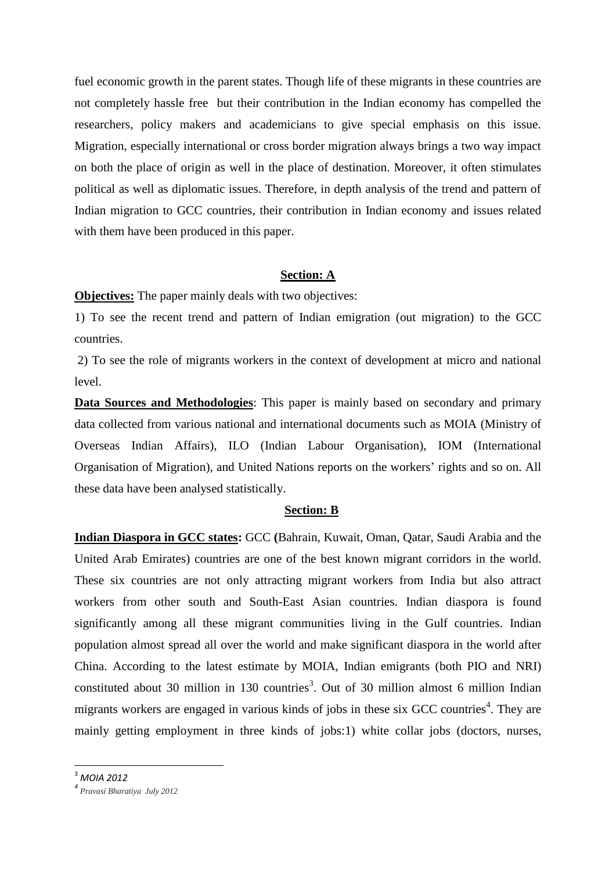fuel economic growth in the parent states. Though life of these migrants in these countries are not completely hassle free but their contribution in the Indian economy has compelled the researchers, policy makers and academicians to give special emphasis on this issue. Migration, especially international or cross border migration always brings a two way impact on both the place of origin as well in the place of destination. Moreover, it often stimulates political as well as diplomatic issues. Therefore, in depth analysis of the trend and pattern of Indian migration to GCC countries, their contribution in Indian economy and issues related with them have been produced in this paper.

## **Section: A**

**Objectives:** The paper mainly deals with two objectives:

1) To see the recent trend and pattern of Indian emigration (out migration) to the GCC countries.

2) To see the role of migrants workers in the context of development at micro and national level.

**Data Sources and Methodologies**: This paper is mainly based on secondary and primary data collected from various national and international documents such as MOIA (Ministry of Overseas Indian Affairs), ILO (Indian Labour Organisation), IOM (International Organisation of Migration), and United Nations reports on the workers' rights and so on. All these data have been analysed statistically.

#### **Section: B**

**Indian Diaspora in GCC states:** GCC **(**Bahrain, Kuwait, Oman, Qatar, Saudi Arabia and the United Arab Emirates) countries are one of the best known migrant corridors in the world. These six countries are not only attracting migrant workers from India but also attract workers from other south and South-East Asian countries. Indian diaspora is found significantly among all these migrant communities living in the Gulf countries. Indian population almost spread all over the world and make significant diaspora in the world after China. According to the latest estimate by MOIA, Indian emigrants (both PIO and NRI) constituted about 30 million in 130 countries<sup>3</sup>. Out of 30 million almost 6 million Indian migrants workers are engaged in various kinds of jobs in these six GCC countries<sup>4</sup>. They are mainly getting employment in three kinds of jobs:1) white collar jobs (doctors, nurses,

1

<sup>3</sup> *MOIA 2012*

*<sup>4</sup> Pravasi Bharatiya July 2012*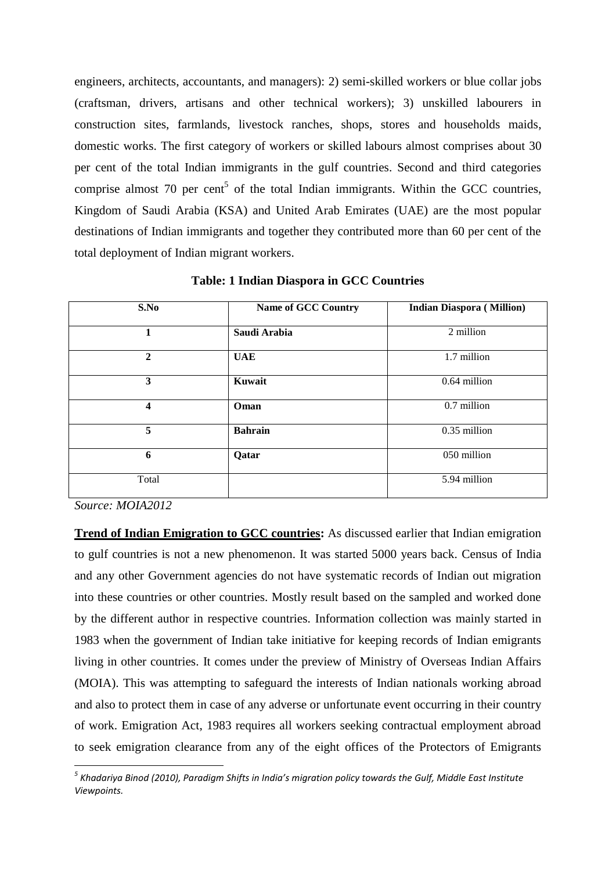engineers, architects, accountants, and managers): 2) semi-skilled workers or blue collar jobs (craftsman, drivers, artisans and other technical workers); 3) unskilled labourers in construction sites, farmlands, livestock ranches, shops, stores and households maids, domestic works. The first category of workers or skilled labours almost comprises about 30 per cent of the total Indian immigrants in the gulf countries. Second and third categories comprise almost  $70$  per cent<sup>5</sup> of the total Indian immigrants. Within the GCC countries, Kingdom of Saudi Arabia (KSA) and United Arab Emirates (UAE) are the most popular destinations of Indian immigrants and together they contributed more than 60 per cent of the total deployment of Indian migrant workers.

| S.No         | <b>Name of GCC Country</b> | <b>Indian Diaspora (Million)</b> |  |  |
|--------------|----------------------------|----------------------------------|--|--|
| 1            | Saudi Arabia               | 2 million                        |  |  |
| $\mathbf{2}$ | <b>UAE</b>                 | 1.7 million                      |  |  |
| 3            | Kuwait                     | 0.64 million                     |  |  |
| 4            | Oman                       | 0.7 million                      |  |  |
| 5            | <b>Bahrain</b>             | 0.35 million                     |  |  |
| 6            | Qatar                      | 050 million                      |  |  |
| Total        |                            | 5.94 million                     |  |  |

**Table: 1 Indian Diaspora in GCC Countries**

*Source: MOIA2012*

**Trend of Indian Emigration to GCC countries:** As discussed earlier that Indian emigration to gulf countries is not a new phenomenon. It was started 5000 years back. Census of India and any other Government agencies do not have systematic records of Indian out migration into these countries or other countries. Mostly result based on the sampled and worked done by the different author in respective countries. Information collection was mainly started in 1983 when the government of Indian take initiative for keeping records of Indian emigrants living in other countries. It comes under the preview of Ministry of Overseas Indian Affairs (MOIA). This was attempting to safeguard the interests of Indian nationals working abroad and also to protect them in case of any adverse or unfortunate event occurring in their country of work. Emigration Act, 1983 requires all workers seeking contractual employment abroad to seek emigration clearance from any of the eight offices of the Protectors of Emigrants

 *5 Khadariya Binod (2010), Paradigm Shifts in India's migration policy towards the Gulf, Middle East Institute Viewpoints.*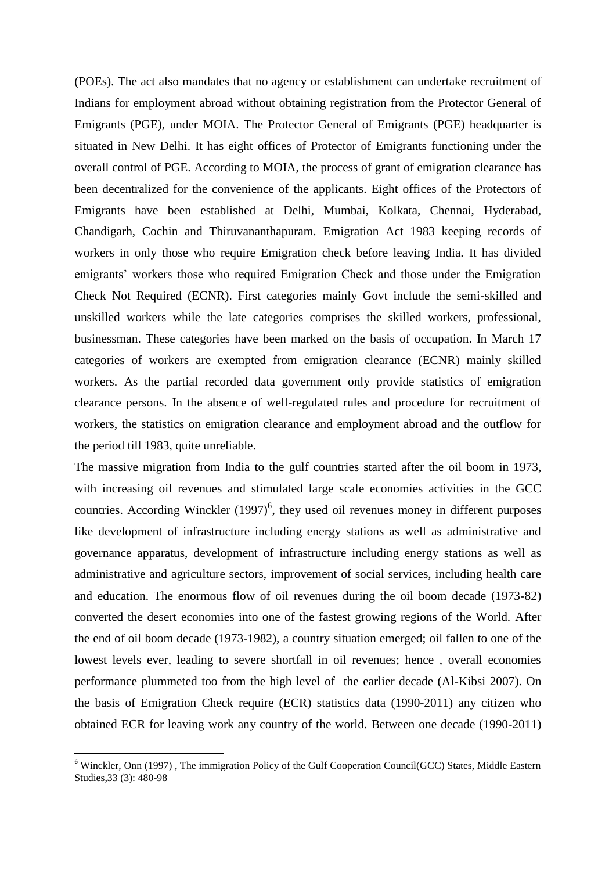(POEs). The act also mandates that no agency or establishment can undertake recruitment of Indians for employment abroad without obtaining registration from the Protector General of Emigrants (PGE), under MOIA. The Protector General of Emigrants (PGE) headquarter is situated in New Delhi. It has eight offices of Protector of Emigrants functioning under the overall control of PGE. According to MOIA, the process of grant of emigration clearance has been decentralized for the convenience of the applicants. Eight offices of the Protectors of Emigrants have been established at Delhi, Mumbai, Kolkata, Chennai, Hyderabad, Chandigarh, Cochin and Thiruvananthapuram. Emigration Act 1983 keeping records of workers in only those who require Emigration check before leaving India. It has divided emigrants' workers those who required Emigration Check and those under the Emigration Check Not Required (ECNR). First categories mainly Govt include the semi-skilled and unskilled workers while the late categories comprises the skilled workers, professional, businessman. These categories have been marked on the basis of occupation. In March 17 categories of workers are exempted from emigration clearance (ECNR) mainly skilled workers. As the partial recorded data government only provide statistics of emigration clearance persons. In the absence of well-regulated rules and procedure for recruitment of workers, the statistics on emigration clearance and employment abroad and the outflow for the period till 1983, quite unreliable.

The massive migration from India to the gulf countries started after the oil boom in 1973, with increasing oil revenues and stimulated large scale economies activities in the GCC countries. According Winckler  $(1997)^6$ , they used oil revenues money in different purposes like development of infrastructure including energy stations as well as administrative and governance apparatus, development of infrastructure including energy stations as well as administrative and agriculture sectors, improvement of social services, including health care and education. The enormous flow of oil revenues during the oil boom decade (1973-82) converted the desert economies into one of the fastest growing regions of the World. After the end of oil boom decade (1973-1982), a country situation emerged; oil fallen to one of the lowest levels ever, leading to severe shortfall in oil revenues; hence , overall economies performance plummeted too from the high level of the earlier decade (Al-Kibsi 2007). On the basis of Emigration Check require (ECR) statistics data (1990-2011) any citizen who obtained ECR for leaving work any country of the world. Between one decade (1990-2011)

<sup>&</sup>lt;sup>6</sup> Winckler, Onn (1997), The immigration Policy of the Gulf Cooperation Council(GCC) States, Middle Eastern Studies,33 (3): 480-98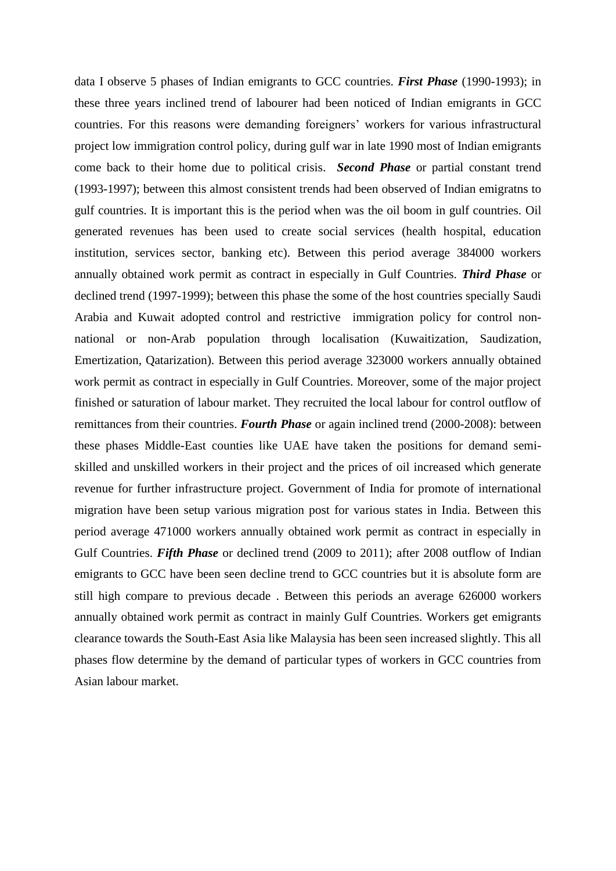data I observe 5 phases of Indian emigrants to GCC countries. *First Phase* (1990-1993); in these three years inclined trend of labourer had been noticed of Indian emigrants in GCC countries. For this reasons were demanding foreigners' workers for various infrastructural project low immigration control policy, during gulf war in late 1990 most of Indian emigrants come back to their home due to political crisis. *Second Phase* or partial constant trend (1993-1997); between this almost consistent trends had been observed of Indian emigratns to gulf countries. It is important this is the period when was the oil boom in gulf countries. Oil generated revenues has been used to create social services (health hospital, education institution, services sector, banking etc). Between this period average 384000 workers annually obtained work permit as contract in especially in Gulf Countries. *Third Phase* or declined trend (1997-1999); between this phase the some of the host countries specially Saudi Arabia and Kuwait adopted control and restrictive immigration policy for control nonnational or non-Arab population through localisation (Kuwaitization, Saudization, Emertization, Qatarization). Between this period average 323000 workers annually obtained work permit as contract in especially in Gulf Countries. Moreover, some of the major project finished or saturation of labour market. They recruited the local labour for control outflow of remittances from their countries. *Fourth Phase* or again inclined trend (2000-2008): between these phases Middle-East counties like UAE have taken the positions for demand semiskilled and unskilled workers in their project and the prices of oil increased which generate revenue for further infrastructure project. Government of India for promote of international migration have been setup various migration post for various states in India. Between this period average 471000 workers annually obtained work permit as contract in especially in Gulf Countries. *Fifth Phase* or declined trend (2009 to 2011); after 2008 outflow of Indian emigrants to GCC have been seen decline trend to GCC countries but it is absolute form are still high compare to previous decade . Between this periods an average 626000 workers annually obtained work permit as contract in mainly Gulf Countries. Workers get emigrants clearance towards the South-East Asia like Malaysia has been seen increased slightly. This all phases flow determine by the demand of particular types of workers in GCC countries from Asian labour market.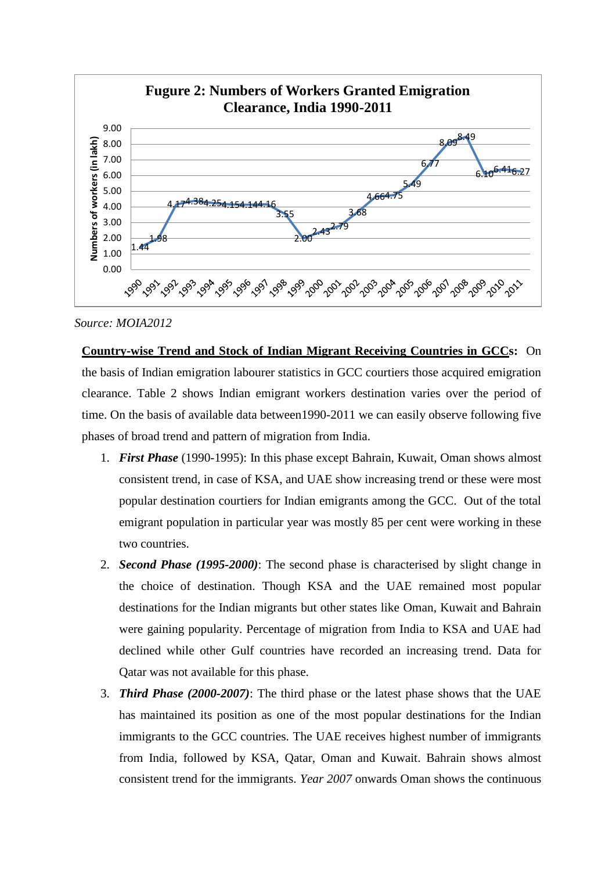

*Source: MOIA2012*

**Country-wise Trend and Stock of Indian Migrant Receiving Countries in GCCs:** On the basis of Indian emigration labourer statistics in GCC courtiers those acquired emigration clearance. Table 2 shows Indian emigrant workers destination varies over the period of time. On the basis of available data between1990-2011 we can easily observe following five phases of broad trend and pattern of migration from India.

- 1. *First Phase* (1990-1995): In this phase except Bahrain, Kuwait, Oman shows almost consistent trend, in case of KSA, and UAE show increasing trend or these were most popular destination courtiers for Indian emigrants among the GCC. Out of the total emigrant population in particular year was mostly 85 per cent were working in these two countries.
- 2. *Second Phase (1995-2000)*: The second phase is characterised by slight change in the choice of destination. Though KSA and the UAE remained most popular destinations for the Indian migrants but other states like Oman, Kuwait and Bahrain were gaining popularity. Percentage of migration from India to KSA and UAE had declined while other Gulf countries have recorded an increasing trend. Data for Qatar was not available for this phase.
- 3. *Third Phase (2000-2007)*: The third phase or the latest phase shows that the UAE has maintained its position as one of the most popular destinations for the Indian immigrants to the GCC countries. The UAE receives highest number of immigrants from India, followed by KSA, Qatar, Oman and Kuwait. Bahrain shows almost consistent trend for the immigrants. *Year 2007* onwards Oman shows the continuous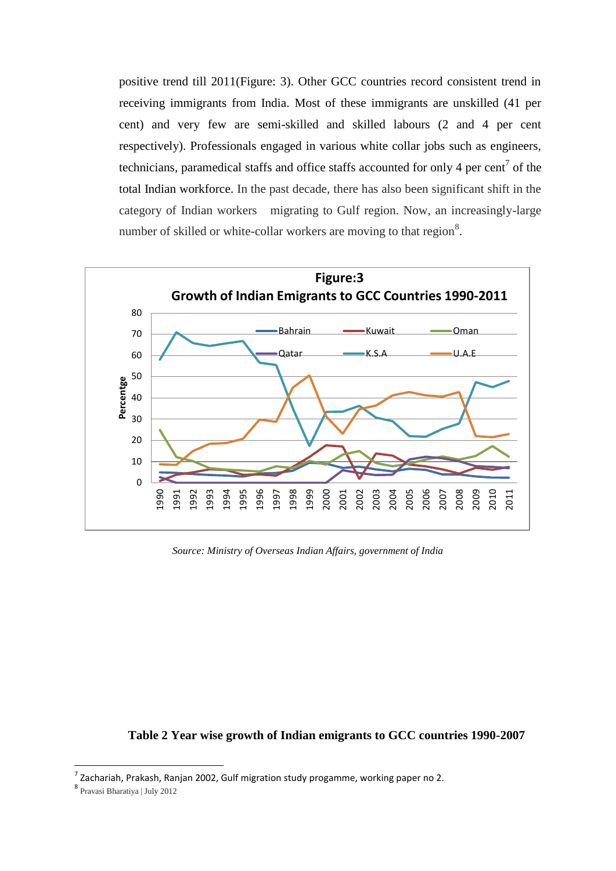positive trend till 2011(Figure: 3). Other GCC countries record consistent trend in receiving immigrants from India. Most of these immigrants are unskilled (41 per cent) and very few are semi-skilled and skilled labours (2 and 4 per cent respectively). Professionals engaged in various white collar jobs such as engineers, technicians, paramedical staffs and office staffs accounted for only 4 per cent<sup>7</sup> of the total Indian workforce. In the past decade, there has also been significant shift in the category of Indian workers migrating to Gulf region. Now, an increasingly-large number of skilled or white-collar workers are moving to that region.



*Source: Ministry of Overseas Indian Affairs, government of India*

# **Table 2 Year wise growth of Indian emigrants to GCC countries 1990-2007**

 $^7$  Zachariah, Prakash, Ranjan 2002, Gulf migration study progamme, working paper no 2.

Pravasi Bharatiya | July 2012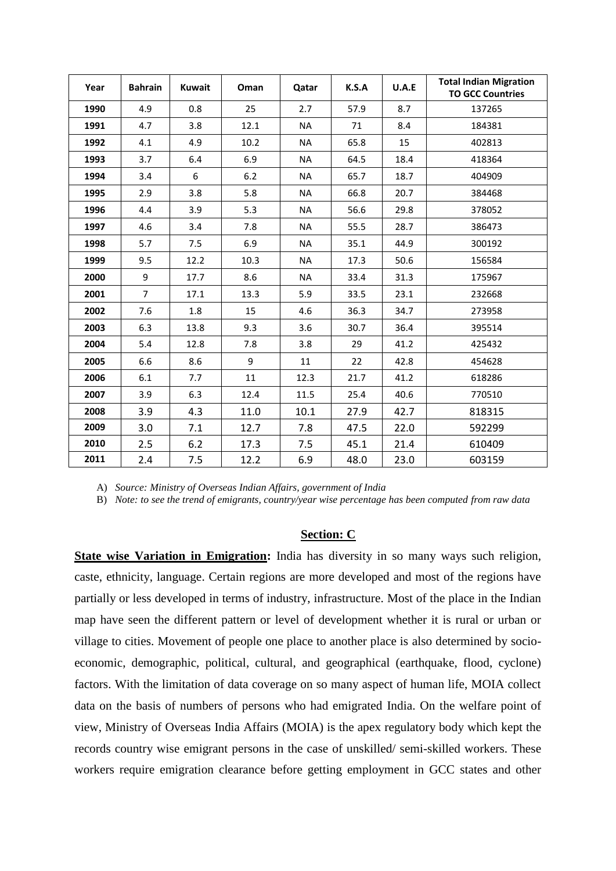| Year | <b>Bahrain</b> | <b>Kuwait</b> | Oman | Qatar     | K.S.A | U.A.E | <b>Total Indian Migration</b><br><b>TO GCC Countries</b> |
|------|----------------|---------------|------|-----------|-------|-------|----------------------------------------------------------|
| 1990 | 4.9            | 0.8           | 25   | 2.7       | 57.9  | 8.7   | 137265                                                   |
| 1991 | 4.7            | 3.8           | 12.1 | <b>NA</b> | 71    | 8.4   | 184381                                                   |
| 1992 | 4.1            | 4.9           | 10.2 | <b>NA</b> | 65.8  | 15    | 402813                                                   |
| 1993 | 3.7            | 6.4           | 6.9  | <b>NA</b> | 64.5  | 18.4  | 418364                                                   |
| 1994 | 3.4            | 6             | 6.2  | <b>NA</b> | 65.7  | 18.7  | 404909                                                   |
| 1995 | 2.9            | 3.8           | 5.8  | <b>NA</b> | 66.8  | 20.7  | 384468                                                   |
| 1996 | 4.4            | 3.9           | 5.3  | <b>NA</b> | 56.6  | 29.8  | 378052                                                   |
| 1997 | 4.6            | 3.4           | 7.8  | <b>NA</b> | 55.5  | 28.7  | 386473                                                   |
| 1998 | 5.7            | 7.5           | 6.9  | <b>NA</b> | 35.1  | 44.9  | 300192                                                   |
| 1999 | 9.5            | 12.2          | 10.3 | <b>NA</b> | 17.3  | 50.6  | 156584                                                   |
| 2000 | 9              | 17.7          | 8.6  | <b>NA</b> | 33.4  | 31.3  | 175967                                                   |
| 2001 | $\overline{7}$ | 17.1          | 13.3 | 5.9       | 33.5  | 23.1  | 232668                                                   |
| 2002 | 7.6            | 1.8           | 15   | 4.6       | 36.3  | 34.7  | 273958                                                   |
| 2003 | 6.3            | 13.8          | 9.3  | 3.6       | 30.7  | 36.4  | 395514                                                   |
| 2004 | 5.4            | 12.8          | 7.8  | 3.8       | 29    | 41.2  | 425432                                                   |
| 2005 | 6.6            | 8.6           | 9    | 11        | 22    | 42.8  | 454628                                                   |
| 2006 | 6.1            | 7.7           | 11   | 12.3      | 21.7  | 41.2  | 618286                                                   |
| 2007 | 3.9            | 6.3           | 12.4 | 11.5      | 25.4  | 40.6  | 770510                                                   |
| 2008 | 3.9            | 4.3           | 11.0 | 10.1      | 27.9  | 42.7  | 818315                                                   |
| 2009 | 3.0            | 7.1           | 12.7 | 7.8       | 47.5  | 22.0  | 592299                                                   |
| 2010 | 2.5            | 6.2           | 17.3 | 7.5       | 45.1  | 21.4  | 610409                                                   |
| 2011 | 2.4            | 7.5           | 12.2 | 6.9       | 48.0  | 23.0  | 603159                                                   |

A) *Source: Ministry of Overseas Indian Affairs, government of India*

B) *Note: to see the trend of emigrants, country/year wise percentage has been computed from raw data*

## **Section: C**

**State wise Variation in Emigration:** India has diversity in so many ways such religion, caste, ethnicity, language. Certain regions are more developed and most of the regions have partially or less developed in terms of industry, infrastructure. Most of the place in the Indian map have seen the different pattern or level of development whether it is rural or urban or village to cities. Movement of people one place to another place is also determined by socioeconomic, demographic, political, cultural, and geographical (earthquake, flood, cyclone) factors. With the limitation of data coverage on so many aspect of human life, MOIA collect data on the basis of numbers of persons who had emigrated India. On the welfare point of view, Ministry of Overseas India Affairs (MOIA) is the apex regulatory body which kept the records country wise emigrant persons in the case of unskilled/ semi-skilled workers. These workers require emigration clearance before getting employment in GCC states and other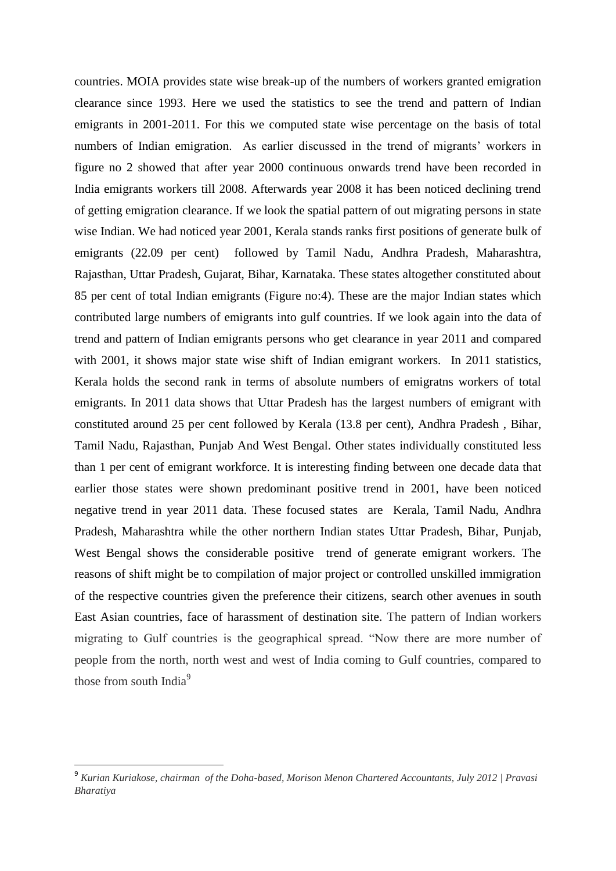countries. MOIA provides state wise break-up of the numbers of workers granted emigration clearance since 1993. Here we used the statistics to see the trend and pattern of Indian emigrants in 2001-2011. For this we computed state wise percentage on the basis of total numbers of Indian emigration. As earlier discussed in the trend of migrants' workers in figure no 2 showed that after year 2000 continuous onwards trend have been recorded in India emigrants workers till 2008. Afterwards year 2008 it has been noticed declining trend of getting emigration clearance. If we look the spatial pattern of out migrating persons in state wise Indian. We had noticed year 2001, Kerala stands ranks first positions of generate bulk of emigrants (22.09 per cent) followed by Tamil Nadu, Andhra Pradesh, Maharashtra, Rajasthan, Uttar Pradesh, Gujarat, Bihar, Karnataka. These states altogether constituted about 85 per cent of total Indian emigrants (Figure no:4). These are the major Indian states which contributed large numbers of emigrants into gulf countries. If we look again into the data of trend and pattern of Indian emigrants persons who get clearance in year 2011 and compared with 2001, it shows major state wise shift of Indian emigrant workers. In 2011 statistics, Kerala holds the second rank in terms of absolute numbers of emigratns workers of total emigrants. In 2011 data shows that Uttar Pradesh has the largest numbers of emigrant with constituted around 25 per cent followed by Kerala (13.8 per cent), Andhra Pradesh , Bihar, Tamil Nadu, Rajasthan, Punjab And West Bengal. Other states individually constituted less than 1 per cent of emigrant workforce. It is interesting finding between one decade data that earlier those states were shown predominant positive trend in 2001, have been noticed negative trend in year 2011 data. These focused states are Kerala, Tamil Nadu, Andhra Pradesh, Maharashtra while the other northern Indian states Uttar Pradesh, Bihar, Punjab, West Bengal shows the considerable positive trend of generate emigrant workers. The reasons of shift might be to compilation of major project or controlled unskilled immigration of the respective countries given the preference their citizens, search other avenues in south East Asian countries, face of harassment of destination site. The pattern of Indian workers migrating to Gulf countries is the geographical spread. "Now there are more number of people from the north, north west and west of India coming to Gulf countries, compared to those from south India<sup>9</sup>

<sup>9</sup> *Kurian Kuriakose, chairman of the Doha-based, Morison Menon Chartered Accountants, July 2012 | Pravasi Bharatiya*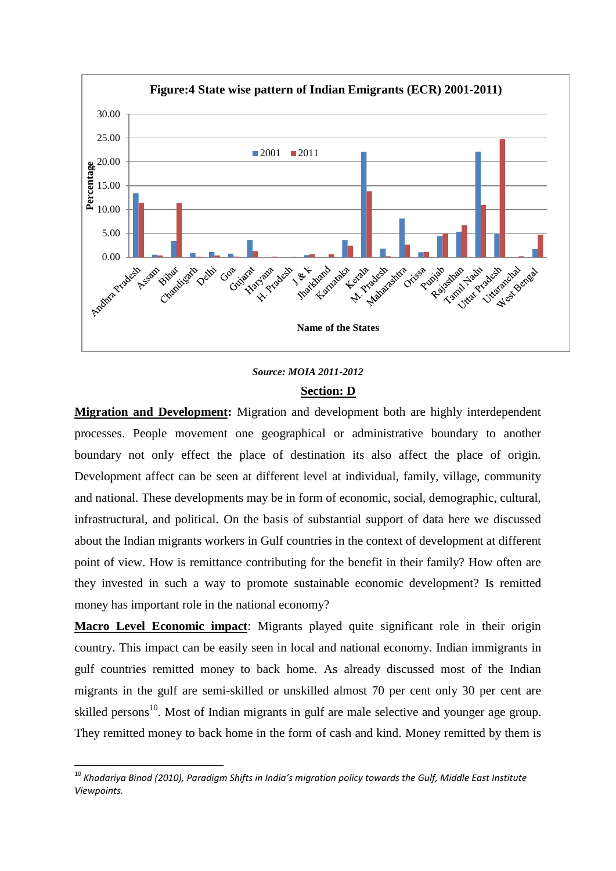

# *Source: MOIA 2011-2012* **Section: D**

**Migration and Development:** Migration and development both are highly interdependent processes. People movement one geographical or administrative boundary to another boundary not only effect the place of destination its also affect the place of origin. Development affect can be seen at different level at individual, family, village, community and national. These developments may be in form of economic, social, demographic, cultural, infrastructural, and political. On the basis of substantial support of data here we discussed about the Indian migrants workers in Gulf countries in the context of development at different point of view. How is remittance contributing for the benefit in their family? How often are they invested in such a way to promote sustainable economic development? Is remitted money has important role in the national economy?

**Macro Level Economic impact**: Migrants played quite significant role in their origin country. This impact can be easily seen in local and national economy. Indian immigrants in gulf countries remitted money to back home. As already discussed most of the Indian migrants in the gulf are semi-skilled or unskilled almost 70 per cent only 30 per cent are skilled persons<sup>10</sup>. Most of Indian migrants in gulf are male selective and younger age group. They remitted money to back home in the form of cash and kind. Money remitted by them is

1

<sup>10</sup> *Khadariya Binod (2010), Paradigm Shifts in India's migration policy towards the Gulf, Middle East Institute Viewpoints.*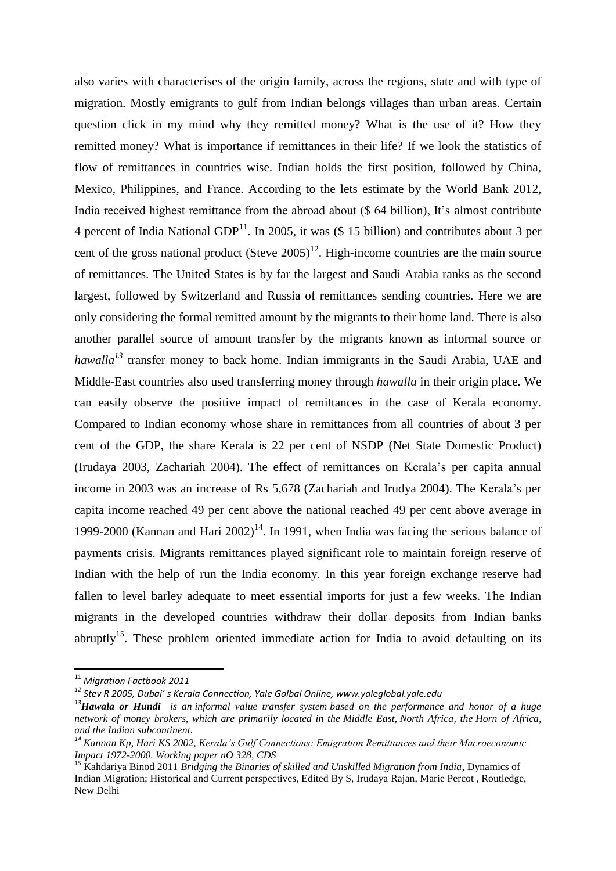also varies with characterises of the origin family, across the regions, state and with type of migration. Mostly emigrants to gulf from Indian belongs villages than urban areas. Certain question click in my mind why they remitted money? What is the use of it? How they remitted money? What is importance if remittances in their life? If we look the statistics of flow of remittances in countries wise. Indian holds the first position, followed by China, Mexico, Philippines, and France. According to the lets estimate by the World Bank 2012, India received highest remittance from the abroad about (\$ 64 billion), It's almost contribute 4 percent of India National GDP $^{11}$ . In 2005, it was (\$ 15 billion) and contributes about 3 per cent of the gross national product (Steve  $2005$ )<sup>12</sup>. High-income countries are the main source of remittances. The United States is by far the largest and Saudi Arabia ranks as the second largest, followed by Switzerland and Russia of remittances sending countries. Here we are only considering the formal remitted amount by the migrants to their home land. There is also another parallel source of amount transfer by the migrants known as informal source or *hawalla*<sup>13</sup> transfer money to back home. Indian immigrants in the Saudi Arabia, UAE and Middle-East countries also used transferring money through *hawalla* in their origin place*.* We can easily observe the positive impact of remittances in the case of Kerala economy. Compared to Indian economy whose share in remittances from all countries of about 3 per cent of the GDP, the share Kerala is 22 per cent of NSDP (Net State Domestic Product) (Irudaya 2003, Zachariah 2004). The effect of remittances on Kerala's per capita annual income in 2003 was an increase of Rs 5,678 (Zachariah and Irudya 2004). The Kerala's per capita income reached 49 per cent above the national reached 49 per cent above average in 1999-2000 (Kannan and Hari  $2002$ )<sup>14</sup>. In 1991, when India was facing the serious balance of payments crisis. Migrants remittances played significant role to maintain foreign reserve of Indian with the help of run the India economy. In this year foreign exchange reserve had fallen to level barley adequate to meet essential imports for just a few weeks. The Indian migrants in the developed countries withdraw their dollar deposits from Indian banks abruptly<sup>15</sup>. These problem oriented immediate action for India to avoid defaulting on its

<sup>11</sup> *Migration Factbook 2011*

*<sup>12</sup> Stev R 2005, Dubai' s Kerala Connection, Yale Golbal Online, www.yaleglobal.yale.edu*

*<sup>13</sup>Hawala or Hundi is an [informal value transfer system](http://en.wikipedia.org/wiki/Informal_value_transfer_system) based on the performance and honor of a huge network of money brokers, which are primarily located in the [Middle East,](http://en.wikipedia.org/wiki/Middle_East) [North Africa,](http://en.wikipedia.org/wiki/North_Africa) the [Horn of Africa,](http://en.wikipedia.org/wiki/Horn_of_Africa) and the [Indian subcontinent](http://en.wikipedia.org/wiki/Indian_subcontinent).*

*<sup>14</sup> Kannan Kp, Hari KS 2002, Kerala's Gulf Connections: Emigration Remittances and their Macroeconomic Impact 1972-2000. Working paper nO 328, CDS*

<sup>15</sup> Kahdariya Binod 2011 *Bridging the Binaries of skilled and Unskilled Migration from India*, Dynamics of Indian Migration; Historical and Current perspectives, Edited By S, Irudaya Rajan, Marie Percot , Routledge, New Delhi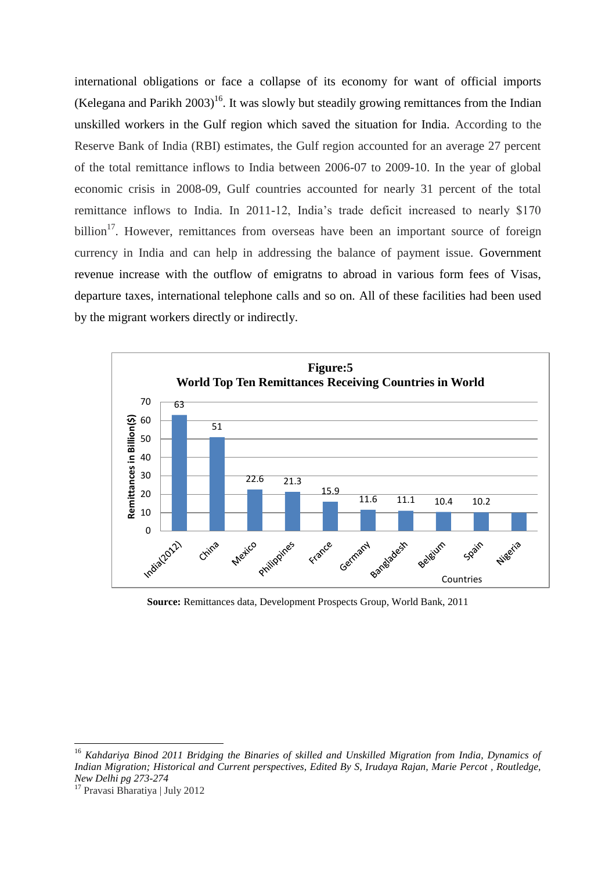international obligations or face a collapse of its economy for want of official imports (Kelegana and Parikh 2003)<sup>16</sup>. It was slowly but steadily growing remittances from the Indian unskilled workers in the Gulf region which saved the situation for India. According to the Reserve Bank of India (RBI) estimates, the Gulf region accounted for an average 27 percent of the total remittance inflows to India between 2006-07 to 2009-10. In the year of global economic crisis in 2008-09, Gulf countries accounted for nearly 31 percent of the total remittance inflows to India. In 2011-12, India's trade deficit increased to nearly \$170 billion<sup>17</sup>. However, remittances from overseas have been an important source of foreign currency in India and can help in addressing the balance of payment issue. Government revenue increase with the outflow of emigratns to abroad in various form fees of Visas, departure taxes, international telephone calls and so on. All of these facilities had been used by the migrant workers directly or indirectly.



**Source:** Remittances data, Development Prospects Group, World Bank, 2011

<sup>16</sup> *Kahdariya Binod 2011 Bridging the Binaries of skilled and Unskilled Migration from India, Dynamics of Indian Migration; Historical and Current perspectives, Edited By S, Irudaya Rajan, Marie Percot , Routledge, New Delhi pg 273-274*

<sup>17</sup> Pravasi Bharatiya | July 2012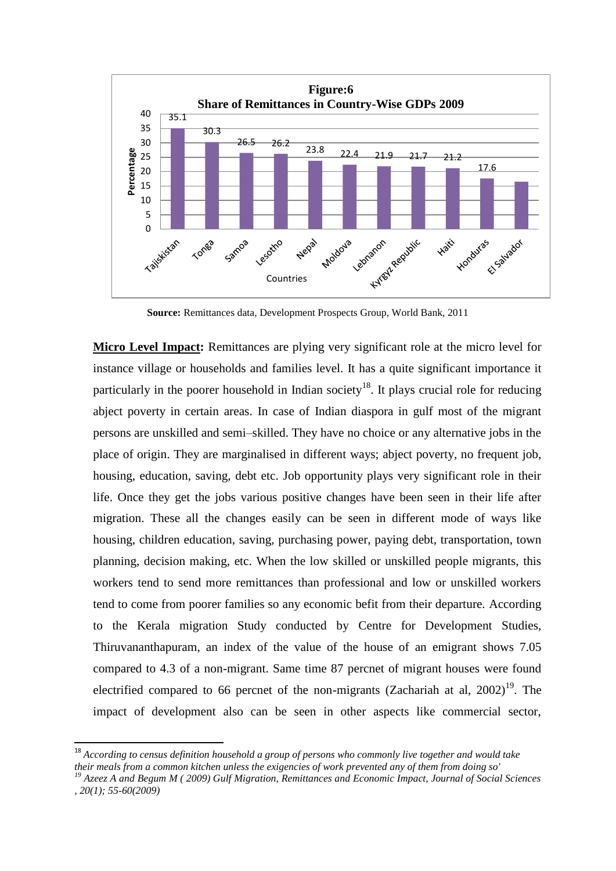

**Source:** Remittances data, Development Prospects Group, World Bank, 2011

**Micro Level Impact:** Remittances are plying very significant role at the micro level for instance village or households and families level. It has a quite significant importance it particularly in the poorer household in Indian society<sup>18</sup>. It plays crucial role for reducing abject poverty in certain areas. In case of Indian diaspora in gulf most of the migrant persons are unskilled and semi–skilled. They have no choice or any alternative jobs in the place of origin. They are marginalised in different ways; abject poverty, no frequent job, housing, education, saving, debt etc. Job opportunity plays very significant role in their life. Once they get the jobs various positive changes have been seen in their life after migration. These all the changes easily can be seen in different mode of ways like housing, children education, saving, purchasing power, paying debt, transportation, town planning, decision making, etc. When the low skilled or unskilled people migrants, this workers tend to send more remittances than professional and low or unskilled workers tend to come from poorer families so any economic befit from their departure. According to the Kerala migration Study conducted by Centre for Development Studies, Thiruvananthapuram, an index of the value of the house of an emigrant shows 7.05 compared to 4.3 of a non-migrant. Same time 87 percnet of migrant houses were found electrified compared to 66 percnet of the non-migrants (Zachariah at al,  $2002$ )<sup>19</sup>. The impact of development also can be seen in other aspects like commercial sector,

<sup>18</sup> *According to census definition household a group of persons who commonly live together and would take their meals from a common kitchen unless the exigencies of work prevented any of them from doing so'*

*<sup>19</sup> Azeez A and Begum M ( 2009) Gulf Migration, Remittances and Economic Impact, Journal of Social Sciences , 20(1); 55-60(2009)*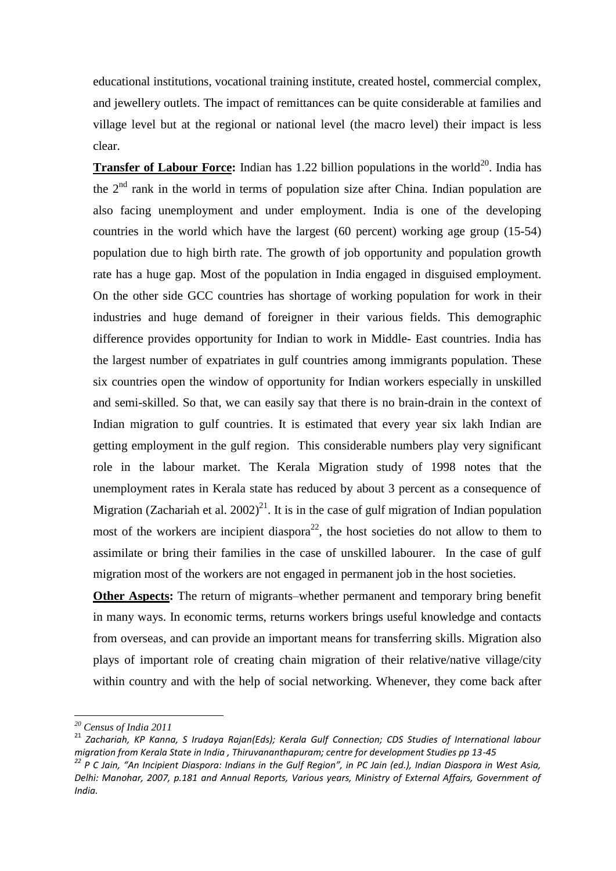educational institutions, vocational training institute, created hostel, commercial complex, and jewellery outlets. The impact of remittances can be quite considerable at families and village level but at the regional or national level (the macro level) their impact is less clear.

**Transfer of Labour Force:** Indian has 1.22 billion populations in the world<sup>20</sup>. India has the  $2<sup>nd</sup>$  rank in the world in terms of population size after China. Indian population are also facing unemployment and under employment. India is one of the developing countries in the world which have the largest (60 percent) working age group (15-54) population due to high birth rate. The growth of job opportunity and population growth rate has a huge gap. Most of the population in India engaged in disguised employment. On the other side GCC countries has shortage of working population for work in their industries and huge demand of foreigner in their various fields. This demographic difference provides opportunity for Indian to work in Middle- East countries. India has the largest number of expatriates in gulf countries among immigrants population. These six countries open the window of opportunity for Indian workers especially in unskilled and semi-skilled. So that, we can easily say that there is no brain-drain in the context of Indian migration to gulf countries. It is estimated that every year six lakh Indian are getting employment in the gulf region. This considerable numbers play very significant role in the labour market. The Kerala Migration study of 1998 notes that the unemployment rates in Kerala state has reduced by about 3 percent as a consequence of Migration (Zachariah et al. 2002)<sup>21</sup>. It is in the case of gulf migration of Indian population most of the workers are incipient diaspora<sup>22</sup>, the host societies do not allow to them to assimilate or bring their families in the case of unskilled labourer. In the case of gulf migration most of the workers are not engaged in permanent job in the host societies.

**Other Aspects:** The return of migrants–whether permanent and temporary bring benefit in many ways. In economic terms, returns workers brings useful knowledge and contacts from overseas, and can provide an important means for transferring skills. Migration also plays of important role of creating chain migration of their relative/native village/city within country and with the help of social networking. Whenever, they come back after

*<sup>20</sup> Census of India 2011*

<sup>21</sup> *Zachariah, KP Kanna, S Irudaya Rajan(Eds); Kerala Gulf Connection; CDS Studies of International labour migration from Kerala State in India , Thiruvananthapuram; centre for development Studies pp 13-45*

*<sup>22</sup> P C Jain, "An Incipient Diaspora: Indians in the Gulf Region", in PC Jain (ed.), Indian Diaspora in West Asia, Delhi: Manohar, 2007, p.181 and Annual Reports, Various years, Ministry of External Affairs, Government of India.*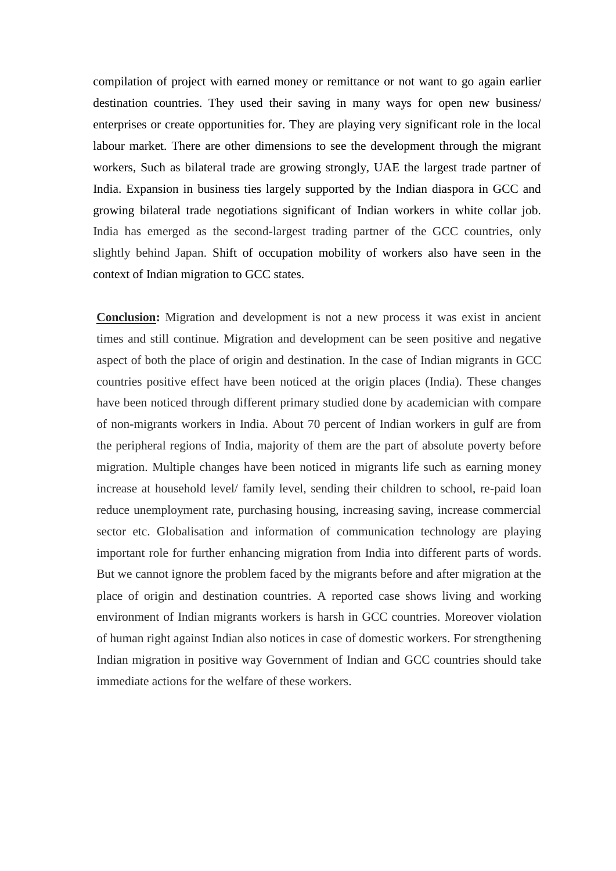compilation of project with earned money or remittance or not want to go again earlier destination countries. They used their saving in many ways for open new business/ enterprises or create opportunities for. They are playing very significant role in the local labour market. There are other dimensions to see the development through the migrant workers, Such as bilateral trade are growing strongly, UAE the largest trade partner of India. Expansion in business ties largely supported by the Indian diaspora in GCC and growing bilateral trade negotiations significant of Indian workers in white collar job. India has emerged as the second-largest trading partner of the GCC countries, only slightly behind Japan. Shift of occupation mobility of workers also have seen in the context of Indian migration to GCC states.

**Conclusion:** Migration and development is not a new process it was exist in ancient times and still continue. Migration and development can be seen positive and negative aspect of both the place of origin and destination. In the case of Indian migrants in GCC countries positive effect have been noticed at the origin places (India). These changes have been noticed through different primary studied done by academician with compare of non-migrants workers in India. About 70 percent of Indian workers in gulf are from the peripheral regions of India, majority of them are the part of absolute poverty before migration. Multiple changes have been noticed in migrants life such as earning money increase at household level/ family level, sending their children to school, re-paid loan reduce unemployment rate, purchasing housing, increasing saving, increase commercial sector etc. Globalisation and information of communication technology are playing important role for further enhancing migration from India into different parts of words. But we cannot ignore the problem faced by the migrants before and after migration at the place of origin and destination countries. A reported case shows living and working environment of Indian migrants workers is harsh in GCC countries. Moreover violation of human right against Indian also notices in case of domestic workers. For strengthening Indian migration in positive way Government of Indian and GCC countries should take immediate actions for the welfare of these workers.